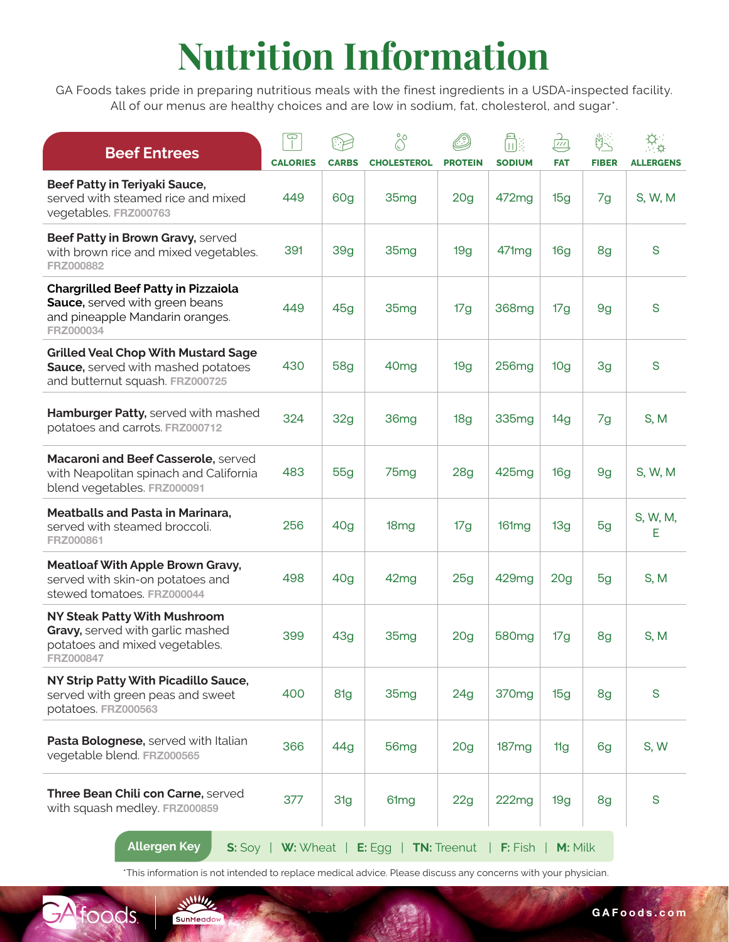## **Nutrition Information**

GA Foods takes pride in preparing nutritious meals with the finest ingredients in a USDA-inspected facility. All of our menus are healthy choices and are low in sodium, fat, cholesterol, and sugar\*.

| <b>Beef Entrees</b>                                                                                                          | $\overline{\mathbb{P}}$ |                     | $\hat{\delta}^{\circ}$                 |                                   | n<br>Di<br><b>SODIUM</b> | د<br>سا<br><b>FAT</b> | 路<br><b>FIBER</b> |                             |
|------------------------------------------------------------------------------------------------------------------------------|-------------------------|---------------------|----------------------------------------|-----------------------------------|--------------------------|-----------------------|-------------------|-----------------------------|
| Beef Patty in Teriyaki Sauce,<br>served with steamed rice and mixed<br>vegetables. FRZ000763                                 | <b>CALORIES</b><br>449  | <b>CARBS</b><br>60g | <b>CHOLESTEROL</b><br>35 <sub>mg</sub> | <b>PROTEIN</b><br>20 <sub>g</sub> | 472mg                    | 15g                   | 7g                | <b>ALLERGENS</b><br>S, W, M |
| Beef Patty in Brown Gravy, served<br>with brown rice and mixed vegetables.<br>FRZ000882                                      | 391                     | 39 <sub>g</sub>     | 35mg                                   | 19g                               | 471mg                    | 16 <sub>g</sub>       | 8g                | S                           |
| <b>Chargrilled Beef Patty in Pizzaiola</b><br>Sauce, served with green beans<br>and pineapple Mandarin oranges.<br>FRZ000034 | 449                     | 45g                 | 35mg                                   | 17g                               | 368mg                    | 17g                   | 9g                | S                           |
| <b>Grilled Veal Chop With Mustard Sage</b><br>Sauce, served with mashed potatoes<br>and butternut squash. FRZ000725          | 430                     | <b>58g</b>          | 40 <sub>mg</sub>                       | 19g                               | 256 <sub>mg</sub>        | 10 <sub>g</sub>       | 3g                | S                           |
| Hamburger Patty, served with mashed<br>potatoes and carrots. FRZ000712                                                       | 324                     | 32g                 | 36mg                                   | 18g                               | 335mg                    | 14g                   | 7g                | S, M                        |
| Macaroni and Beef Casserole, served<br>with Neapolitan spinach and California<br>blend vegetables. FRZ000091                 | 483                     | 55g                 | 75 <sub>mg</sub>                       | 28g                               | 425mg                    | 16g                   | 9g                | S, W, M                     |
| <b>Meatballs and Pasta in Marinara,</b><br>served with steamed broccoli.<br>FRZ000861                                        | 256                     | 40g                 | 18 <sub>mg</sub>                       | 17g                               | 161mg                    | 13g                   | 5g                | S, W, M,<br>Е               |
| <b>Meatloaf With Apple Brown Gravy,</b><br>served with skin-on potatoes and<br>stewed tomatoes. FRZ000044                    | 498                     | 40g                 | 42mg                                   | 25g                               | 429mg                    | 20 <sub>g</sub>       | 5g                | S, M                        |
| <b>NY Steak Patty With Mushroom</b><br>Gravy, served with garlic mashed<br>potatoes and mixed vegetables.<br>FRZ000847       | 399                     | 43g                 | 35mg                                   | 20 <sub>g</sub>                   | 580 <sub>mg</sub>        | 17g                   | 8g                | S, M                        |
| NY Strip Patty With Picadillo Sauce,<br>served with green peas and sweet<br>potatoes. FRZ000563                              | 400                     | 81g                 | 35 <sub>mg</sub>                       | 24g                               | 370 <sub>mg</sub>        | 15g                   | 8g                | S                           |
| Pasta Bolognese, served with Italian<br>vegetable blend. FRZ000565                                                           | 366                     | 44g                 | 56 <sub>mg</sub>                       | 20 <sub>g</sub>                   | 187mg                    | 11g                   | 6g                | S, W                        |
| Three Bean Chili con Carne, served<br>with squash medley. FRZ000859                                                          | 377                     | 31g                 | 61 <sub>mg</sub>                       | 22g                               | 222mg                    | 19g                   | 8g                | S                           |
| <b>Allergen Key</b><br>S: Soy                                                                                                | $W:$ Wheat              |                     | E: Egg                                 | <b>TN: Treenut</b>                | <b>F:</b> Fish           | M: Milk               |                   |                             |

\*This information is not intended to replace medical advice. Please discuss any concerns with your physician.

 $\frac{1111}{2}$ 

SunMeadow

GA foods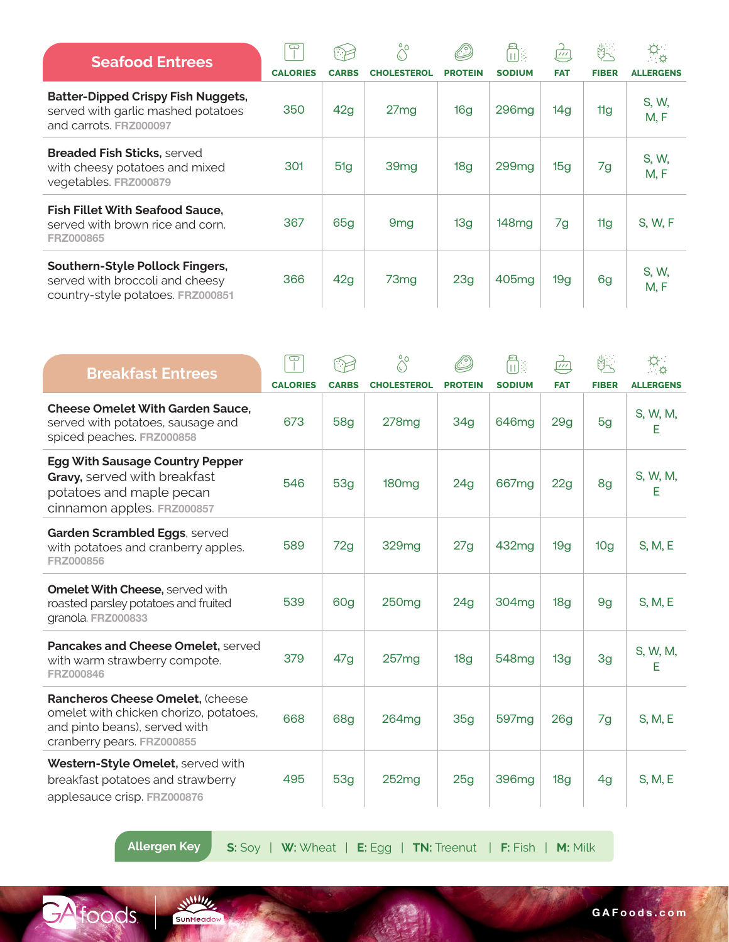| <b>Seafood Entrees</b>                                                                                    | G               |              | $\frac{8}{10}$     |                | n.                | $\overbrace{\phantom{127}}^{\phantom{127} \mu\tau}$ | 除            | $\Phi_{\alpha}$  |
|-----------------------------------------------------------------------------------------------------------|-----------------|--------------|--------------------|----------------|-------------------|-----------------------------------------------------|--------------|------------------|
|                                                                                                           | <b>CALORIES</b> | <b>CARBS</b> | <b>CHOLESTEROL</b> | <b>PROTEIN</b> | <b>SODIUM</b>     | <b>FAT</b>                                          | <b>FIBER</b> | <b>ALLERGENS</b> |
| <b>Batter-Dipped Crispy Fish Nuggets,</b><br>served with garlic mashed potatoes<br>and carrots. FRZ000097 | 350             | 42g          | 27mg               | 16g            | 296 <sub>mg</sub> | 14g                                                 | 11g          | S, W,<br>M, F    |
| <b>Breaded Fish Sticks, served</b><br>with cheesy potatoes and mixed<br>vegetables. FRZ000879             | 301             | 51g          | 39 <sub>mg</sub>   | 18g            | 299mg             | 15g                                                 | 7g           | S, W,<br>M, F    |
| <b>Fish Fillet With Seafood Sauce.</b><br>served with brown rice and corn.<br><b>FRZ000865</b>            | 367             | 65g          | 9 <sub>mg</sub>    | 13g            | 148mg             | 7g                                                  | 11g          | S, W, F          |
| Southern-Style Pollock Fingers,<br>served with broccoli and cheesy<br>country-style potatoes. FRZ000851   | 366             | 42g          | 73 <sub>mg</sub>   | 23g            | 405mg             | 19g                                                 | 6g           | S, W,<br>M, F    |

| <b>Breakfast Entrees</b>                                                                                                                  | $\overline{\mathbb{C}}$ |                 | $\overset{\circ}{\circ}$ |                 | 品                 | $\frac{C}{\sqrt{2}}$ | 凯               | $\alpha_{\rm o}$ |
|-------------------------------------------------------------------------------------------------------------------------------------------|-------------------------|-----------------|--------------------------|-----------------|-------------------|----------------------|-----------------|------------------|
|                                                                                                                                           | <b>CALORIES</b>         | <b>CARBS</b>    | <b>CHOLESTEROL</b>       | <b>PROTEIN</b>  | <b>SODIUM</b>     | <b>FAT</b>           | <b>FIBER</b>    | <b>ALLERGENS</b> |
| <b>Cheese Omelet With Garden Sauce,</b><br>served with potatoes, sausage and<br>spiced peaches. FRZ000858                                 | 673                     | <b>58g</b>      | 278 <sub>mg</sub>        | 34g             | 646mg             | 29g                  | 5g              | S, W, M,<br>E    |
| <b>Egg With Sausage Country Pepper</b><br>Gravy, served with breakfast<br>potatoes and maple pecan<br>cinnamon apples. FRZ000857          | 546                     | 53 <sub>q</sub> | 180 <sub>mg</sub>        | 24g             | 667mg             | 22g                  | 8g              | S, W, M,<br>E    |
| Garden Scrambled Eggs, served<br>with potatoes and cranberry apples.<br>FRZ000856                                                         | 589                     | 72g             | 329mg                    | 27g             | 432mg             | 19g                  | 10 <sub>g</sub> | S, M, E          |
| <b>Omelet With Cheese, served with</b><br>roasted parsley potatoes and fruited<br>granola. FRZ000833                                      | 539                     | 60g             | 250 <sub>mg</sub>        | 24g             | 304 <sub>mg</sub> | 18 <sub>g</sub>      | 9 <sub>g</sub>  | S, M, E          |
| Pancakes and Cheese Omelet, served<br>with warm strawberry compote.<br>FRZ000846                                                          | 379                     | 47 <sub>q</sub> | 257mg                    | 18 <sub>q</sub> | 548 <sub>mg</sub> | 13 <sub>q</sub>      | 3g              | S, W, M,<br>Е    |
| Rancheros Cheese Omelet, (cheese<br>omelet with chicken chorizo, potatoes,<br>and pinto beans), served with<br>cranberry pears. FRZ000855 | 668                     | 68g             | 264 <sub>mg</sub>        | 35g             | 597 <sub>mg</sub> | 26 <sub>g</sub>      | 7g              | S, M, E          |
| Western-Style Omelet, served with<br>breakfast potatoes and strawberry<br>applesauce crisp. FRZ000876                                     | 495                     | <b>53g</b>      | 252mg                    | 25g             | 396mg             | 18g                  | 4g              | S, M, E          |

GA foods

SunMeadow

**Allergen Key S:** Soy | **W:** Wheat | **E:** Egg | **TN:** Treenut | **F:** Fish | **M:** Milk

**GAFoods.com**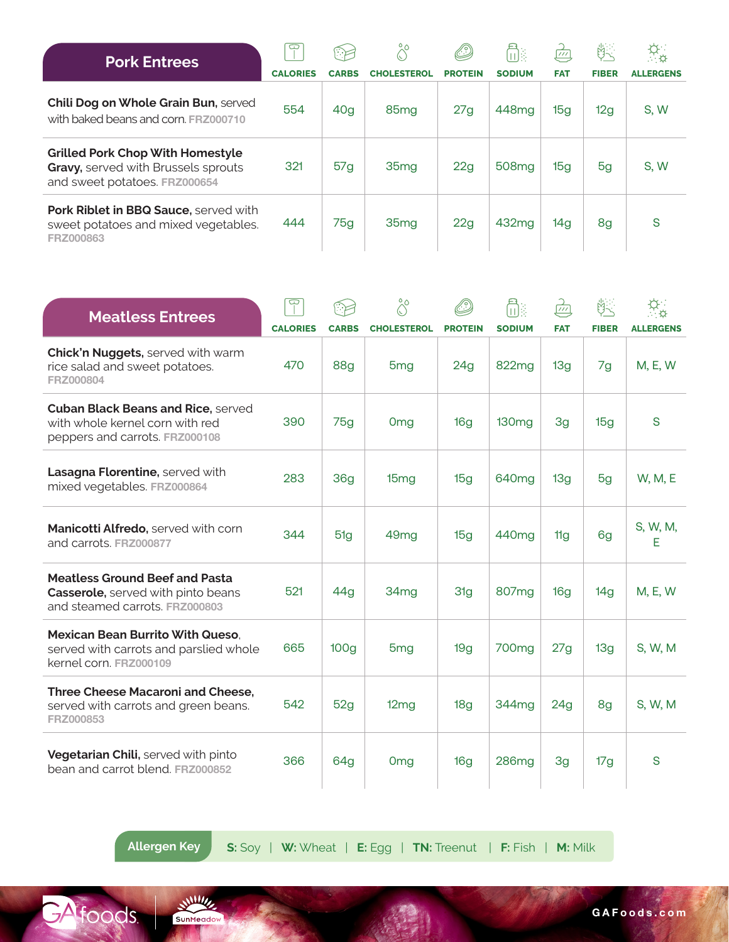| <b>Pork Entrees</b>                                                                                             | ⊂               |                 |                    |                | ħ                 | $\frac{1}{\sqrt{11}}$ | 的            |                  |
|-----------------------------------------------------------------------------------------------------------------|-----------------|-----------------|--------------------|----------------|-------------------|-----------------------|--------------|------------------|
|                                                                                                                 | <b>CALORIES</b> | <b>CARBS</b>    | <b>CHOLESTEROL</b> | <b>PROTEIN</b> | <b>SODIUM</b>     | <b>FAT</b>            | <b>FIBER</b> | <b>ALLERGENS</b> |
| Chili Dog on Whole Grain Bun, served<br>with baked beans and corn. FRZ000710                                    | 554             | 40 <sub>g</sub> | 85 <sub>mg</sub>   | 27g            | 448 <sub>mg</sub> | 15g                   | 12g          | S, W             |
| <b>Grilled Pork Chop With Homestyle</b><br>Gravy, served with Brussels sprouts<br>and sweet potatoes. FRZ000654 | 321             | 57g             | 35 <sub>mg</sub>   | 22g            | 508 <sub>mg</sub> | 15g                   | 5g           | S, W             |
| Pork Riblet in BBQ Sauce, served with<br>sweet potatoes and mixed vegetables.<br>FRZ000863                      | 444             | 75g             | 35 <sub>mg</sub>   | 22g            | 432mg             | 14g                   | 8g           | S                |

| <b>Meatless Entrees</b>                                                                                              | $\mathbf \Xi$   |                  | $\hat{\circ}^{\circ}$ |                 | 彦                 | $\frac{1}{\sqrt{11}}$ |              |                  |
|----------------------------------------------------------------------------------------------------------------------|-----------------|------------------|-----------------------|-----------------|-------------------|-----------------------|--------------|------------------|
|                                                                                                                      | <b>CALORIES</b> | <b>CARBS</b>     | <b>CHOLESTEROL</b>    | <b>PROTEIN</b>  | <b>SODIUM</b>     | <b>FAT</b>            | <b>FIBER</b> | <b>ALLERGENS</b> |
| Chick'n Nuggets, served with warm<br>rice salad and sweet potatoes.<br>FRZ000804                                     | 470             | <b>88g</b>       | 5 <sub>mg</sub>       | 24 <sub>g</sub> | 822mg             | 13 <sub>g</sub>       | 7g           | <b>M, E, W</b>   |
| <b>Cuban Black Beans and Rice, served</b><br>with whole kernel corn with red<br>peppers and carrots. FRZ000108       | 390             | 75g              | Omg                   | 16 <sub>q</sub> | 130 <sub>mg</sub> | 3g                    | 15g          | S                |
| Lasagna Florentine, served with<br>mixed vegetables. FRZ000864                                                       | 283             | 36 <sub>g</sub>  | 15mg                  | 15g             | 640 <sub>mg</sub> | 13g                   | 5g           | <b>W, M, E</b>   |
| <b>Manicotti Alfredo, served with corn</b><br>and carrots, FRZ000877                                                 | 344             | 51g              | 49 <sub>mg</sub>      | 15g             | 440 <sub>mq</sub> | 11g                   | 6g           | S, W, M,<br>E    |
| <b>Meatless Ground Beef and Pasta</b><br><b>Casserole, served with pinto beans</b><br>and steamed carrots. FRZ000803 | 521             | 44g              | 34 <sub>mg</sub>      | 31g             | 807 <sub>mg</sub> | 16g                   | 14g          | M, E, W          |
| <b>Mexican Bean Burrito With Queso.</b><br>served with carrots and parslied whole<br>kernel corn. FRZ000109          | 665             | 100 <sub>g</sub> | 5 <sub>mg</sub>       | 19g             | 700 <sub>mg</sub> | 27g                   | 13g          | S, W, M          |
| Three Cheese Macaroni and Cheese,<br>served with carrots and green beans.<br>FRZ000853                               | 542             | 52g              | 12mg                  | 18 <sub>g</sub> | 344 <sub>mg</sub> | 24 <sub>g</sub>       | 8g           | S, W, M          |
| Vegetarian Chili, served with pinto<br>bean and carrot blend. FRZ000852                                              | 366             | 64g              | Omg                   | 16 <sub>q</sub> | 286 <sub>mg</sub> | 3g                    | 17g          | S                |

GA FOODS.

**Allergen Key S:** Soy | **W:** Wheat | **E:** Egg | **TN:** Treenut | **F:** Fish | **M:** Milk